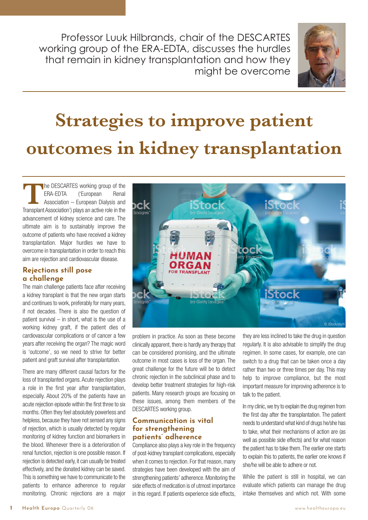Professor Luuk Hilbrands, chair of the DESCARTES working group of the ERA-EDTA, discusses the hurdles that remain in kidney transplantation and how they might be overcome



# **Strategies to improve patient outcomes in kidney transplantation**

**The DESCARTES working group of the<br>ERA-EDTA ('European Renal** ERA-EDTA Association – European Dialysis and Transplant Association') plays an active role in the advancement of kidney science and care. The ultimate aim is to sustainably improve the outcome of patients who have received a kidney transplantation. Major hurdles we have to overcome in transplantation in order to reach this aim are rejection and cardiovascular disease.

### **Rejections still pose a challenge**

The main challenge patients face after receiving a kidney transplant is that the new organ starts and continues to work, preferably for many years, if not decades. There is also the question of patient survival  $-$  in short, what is the use of a working kidney graft, if the patient dies of cardiovascular complications or of cancer a few years after receiving the organ? The magic word is 'outcome', so we need to strive for better patient and graft survival after transplantation.

There are many different causal factors for the loss of transplanted organs. Acute rejection plays a role in the first year after transplantation, especially. About 20% of the patients have an acute rejection episode within the first three to six months. Often they feel absolutely powerless and helpless, because they have not sensed any signs of rejection, which is usually detected by regular monitoring of kidney function and biomarkers in the blood. Whenever there is a deterioration of renal function, rejection is one possible reason. If rejection is detected early, it can usually be treated effectively, and the donated kidney can be saved. This is something we have to communicate to the patients to enhance adherence to regular monitoring. Chronic rejections are a major



problem in practice. As soon as these become clinically apparent, there is hardly any therapy that can be considered promising, and the ultimate outcome in most cases is loss of the organ. The great challenge for the future will be to detect chronic rejection in the subclinical phase and to develop better treatment strategies for high-risk patients. Many research groups are focusing on these issues, among them members of the DESCARTES working group.

#### **Communication is vital for strengthening patients' adherence**

Compliance also plays a key role in the frequency of post-kidney transplant complications, especially when it comes to rejection. For that reason, many strategies have been developed with the aim of strengthening patients' adherence. Monitoring the side effects of medication is of utmost importance in this regard. If patients experience side effects, they are less inclined to take the drug in question regularly. It is also advisable to simplify the drug regimen. In some cases, for example, one can switch to a drug that can be taken once a day rather than two or three times per day. This may help to improve compliance, but the most important measure for improving adherence is to talk to the patient.

In my clinic, we try to explain the drug regimen from the first day after the transplantation. The patient needs to understand what kind of drugs he/she has to take, what their mechanisms of action are (as well as possible side effects) and for what reason the patient has to take them. The earlier one starts to explain this to patients, the earlier one knows if she/he will be able to adhere or not.

While the patient is still in hospital, we can evaluate which patients can manage the drug intake themselves and which not. With some